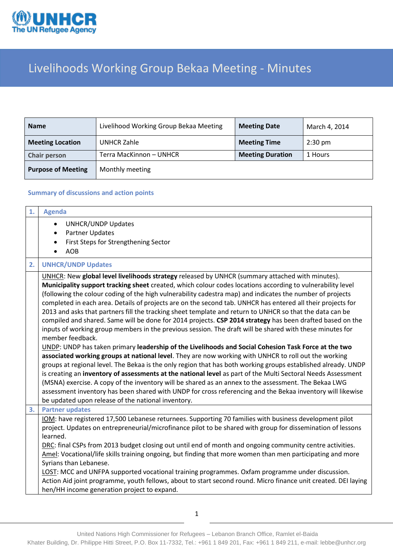

## Livelihoods Working Group Bekaa Meeting - Minutes

| <b>Name</b>               | Livelihood Working Group Bekaa Meeting | <b>Meeting Date</b>     | March 4, 2014     |
|---------------------------|----------------------------------------|-------------------------|-------------------|
| <b>Meeting Location</b>   | UNHCR Zahle                            | <b>Meeting Time</b>     | $2:30 \text{ pm}$ |
| <b>Chair person</b>       | Terra MacKinnon – UNHCR                | <b>Meeting Duration</b> | 1 Hours           |
| <b>Purpose of Meeting</b> | Monthly meeting                        |                         |                   |

## **Summary of discussions and action points**

| <b>Agenda</b>                                                                                                                                                                                                                                                                                                                                                                                                                                                                                                                                                                                                                                                                                                                                                                                                                                                                                                                                                                                                                                                                                                                                                                                                                                                                                                                                                                                                                                                                                                                   |
|---------------------------------------------------------------------------------------------------------------------------------------------------------------------------------------------------------------------------------------------------------------------------------------------------------------------------------------------------------------------------------------------------------------------------------------------------------------------------------------------------------------------------------------------------------------------------------------------------------------------------------------------------------------------------------------------------------------------------------------------------------------------------------------------------------------------------------------------------------------------------------------------------------------------------------------------------------------------------------------------------------------------------------------------------------------------------------------------------------------------------------------------------------------------------------------------------------------------------------------------------------------------------------------------------------------------------------------------------------------------------------------------------------------------------------------------------------------------------------------------------------------------------------|
| <b>UNHCR/UNDP Updates</b><br>$\bullet$<br><b>Partner Updates</b><br>$\bullet$<br>First Steps for Strengthening Sector<br>$\bullet$<br><b>AOB</b>                                                                                                                                                                                                                                                                                                                                                                                                                                                                                                                                                                                                                                                                                                                                                                                                                                                                                                                                                                                                                                                                                                                                                                                                                                                                                                                                                                                |
| <b>UNHCR/UNDP Updates</b>                                                                                                                                                                                                                                                                                                                                                                                                                                                                                                                                                                                                                                                                                                                                                                                                                                                                                                                                                                                                                                                                                                                                                                                                                                                                                                                                                                                                                                                                                                       |
| UNHCR: New global level livelihoods strategy released by UNHCR (summary attached with minutes).<br>Municipality support tracking sheet created, which colour codes locations according to vulnerability level<br>(following the colour coding of the high vulnerability cadestra map) and indicates the number of projects<br>completed in each area. Details of projects are on the second tab. UNHCR has entered all their projects for<br>2013 and asks that partners fill the tracking sheet template and return to UNHCR so that the data can be<br>compiled and shared. Same will be done for 2014 projects. CSP 2014 strategy has been drafted based on the<br>inputs of working group members in the previous session. The draft will be shared with these minutes for<br>member feedback.<br>UNDP: UNDP has taken primary leadership of the Livelihoods and Social Cohesion Task Force at the two<br>associated working groups at national level. They are now working with UNHCR to roll out the working<br>groups at regional level. The Bekaa is the only region that has both working groups established already. UNDP<br>is creating an inventory of assessments at the national level as part of the Multi Sectoral Needs Assessment<br>(MSNA) exercise. A copy of the inventory will be shared as an annex to the assessment. The Bekaa LWG<br>assessment inventory has been shared with UNDP for cross referencing and the Bekaa inventory will likewise<br>be updated upon release of the national inventory. |
| <b>Partner updates</b>                                                                                                                                                                                                                                                                                                                                                                                                                                                                                                                                                                                                                                                                                                                                                                                                                                                                                                                                                                                                                                                                                                                                                                                                                                                                                                                                                                                                                                                                                                          |
| IOM: have registered 17,500 Lebanese returnees. Supporting 70 families with business development pilot<br>project. Updates on entrepreneurial/microfinance pilot to be shared with group for dissemination of lessons<br>learned.<br>DRC: final CSPs from 2013 budget closing out until end of month and ongoing community centre activities.<br>Amel: Vocational/life skills training ongoing, but finding that more women than men participating and more<br>Syrians than Lebanese.<br>LOST: MCC and UNFPA supported vocational training programmes. Oxfam programme under discussion.<br>Action Aid joint programme, youth fellows, about to start second round. Micro finance unit created. DEI laying<br>hen/HH income generation project to expand.                                                                                                                                                                                                                                                                                                                                                                                                                                                                                                                                                                                                                                                                                                                                                                       |
|                                                                                                                                                                                                                                                                                                                                                                                                                                                                                                                                                                                                                                                                                                                                                                                                                                                                                                                                                                                                                                                                                                                                                                                                                                                                                                                                                                                                                                                                                                                                 |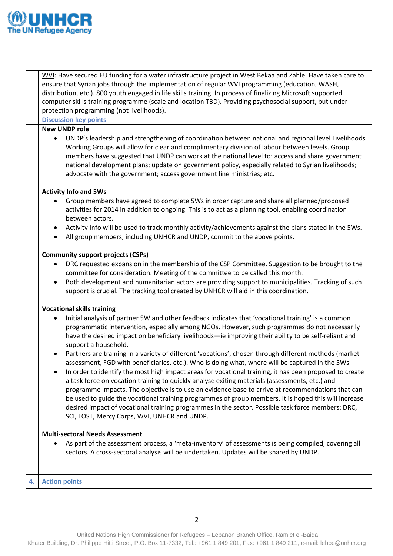

|    | WVI: Have secured EU funding for a water infrastructure project in West Bekaa and Zahle. Have taken care to                                                                                                                                                                                                                                                                                                                                                                                                                                                                                                                                                                                                                                                                                                |  |  |
|----|------------------------------------------------------------------------------------------------------------------------------------------------------------------------------------------------------------------------------------------------------------------------------------------------------------------------------------------------------------------------------------------------------------------------------------------------------------------------------------------------------------------------------------------------------------------------------------------------------------------------------------------------------------------------------------------------------------------------------------------------------------------------------------------------------------|--|--|
|    | ensure that Syrian jobs through the implementation of regular WVI programming (education, WASH,                                                                                                                                                                                                                                                                                                                                                                                                                                                                                                                                                                                                                                                                                                            |  |  |
|    | distribution, etc.). 800 youth engaged in life skills training. In process of finalizing Microsoft supported                                                                                                                                                                                                                                                                                                                                                                                                                                                                                                                                                                                                                                                                                               |  |  |
|    | computer skills training programme (scale and location TBD). Providing psychosocial support, but under                                                                                                                                                                                                                                                                                                                                                                                                                                                                                                                                                                                                                                                                                                     |  |  |
|    | protection programming (not livelihoods).                                                                                                                                                                                                                                                                                                                                                                                                                                                                                                                                                                                                                                                                                                                                                                  |  |  |
|    | <b>Discussion key points</b>                                                                                                                                                                                                                                                                                                                                                                                                                                                                                                                                                                                                                                                                                                                                                                               |  |  |
|    | <b>New UNDP role</b>                                                                                                                                                                                                                                                                                                                                                                                                                                                                                                                                                                                                                                                                                                                                                                                       |  |  |
|    | UNDP's leadership and strengthening of coordination between national and regional level Livelihoods<br>$\bullet$<br>Working Groups will allow for clear and complimentary division of labour between levels. Group<br>members have suggested that UNDP can work at the national level to: access and share government<br>national development plans; update on government policy, especially related to Syrian livelihoods;<br>advocate with the government; access government line ministries; etc.                                                                                                                                                                                                                                                                                                       |  |  |
|    | <b>Activity Info and 5Ws</b>                                                                                                                                                                                                                                                                                                                                                                                                                                                                                                                                                                                                                                                                                                                                                                               |  |  |
|    | Group members have agreed to complete 5Ws in order capture and share all planned/proposed<br>$\bullet$<br>activities for 2014 in addition to ongoing. This is to act as a planning tool, enabling coordination<br>between actors.                                                                                                                                                                                                                                                                                                                                                                                                                                                                                                                                                                          |  |  |
|    | Activity Info will be used to track monthly activity/achievements against the plans stated in the 5Ws.<br>$\bullet$<br>All group members, including UNHCR and UNDP, commit to the above points.<br>$\bullet$                                                                                                                                                                                                                                                                                                                                                                                                                                                                                                                                                                                               |  |  |
|    | <b>Community support projects (CSPs)</b><br>DRC requested expansion in the membership of the CSP Committee. Suggestion to be brought to the<br>$\bullet$                                                                                                                                                                                                                                                                                                                                                                                                                                                                                                                                                                                                                                                   |  |  |
|    | committee for consideration. Meeting of the committee to be called this month.                                                                                                                                                                                                                                                                                                                                                                                                                                                                                                                                                                                                                                                                                                                             |  |  |
|    | Both development and humanitarian actors are providing support to municipalities. Tracking of such<br>$\bullet$<br>support is crucial. The tracking tool created by UNHCR will aid in this coordination.                                                                                                                                                                                                                                                                                                                                                                                                                                                                                                                                                                                                   |  |  |
|    | <b>Vocational skills training</b>                                                                                                                                                                                                                                                                                                                                                                                                                                                                                                                                                                                                                                                                                                                                                                          |  |  |
|    | Initial analysis of partner 5W and other feedback indicates that 'vocational training' is a common<br>$\bullet$<br>programmatic intervention, especially among NGOs. However, such programmes do not necessarily<br>have the desired impact on beneficiary livelihoods-ie improving their ability to be self-reliant and<br>support a household.                                                                                                                                                                                                                                                                                                                                                                                                                                                           |  |  |
|    | Partners are training in a variety of different 'vocations', chosen through different methods (market<br>$\bullet$<br>assessment, FGD with beneficiaries, etc.). Who is doing what, where will be captured in the 5Ws.<br>In order to identify the most high impact areas for vocational training, it has been proposed to create<br>٠<br>a task force on vocation training to quickly analyse exiting materials (assessments, etc.) and<br>programme impacts. The objective is to use an evidence base to arrive at recommendations that can<br>be used to guide the vocational training programmes of group members. It is hoped this will increase<br>desired impact of vocational training programmes in the sector. Possible task force members: DRC,<br>SCI, LOST, Mercy Corps, WVI, UNHCR and UNDP. |  |  |
|    | <b>Multi-sectoral Needs Assessment</b>                                                                                                                                                                                                                                                                                                                                                                                                                                                                                                                                                                                                                                                                                                                                                                     |  |  |
|    | As part of the assessment process, a 'meta-inventory' of assessments is being compiled, covering all<br>$\bullet$<br>sectors. A cross-sectoral analysis will be undertaken. Updates will be shared by UNDP.                                                                                                                                                                                                                                                                                                                                                                                                                                                                                                                                                                                                |  |  |
| 4. | <b>Action points</b>                                                                                                                                                                                                                                                                                                                                                                                                                                                                                                                                                                                                                                                                                                                                                                                       |  |  |
|    |                                                                                                                                                                                                                                                                                                                                                                                                                                                                                                                                                                                                                                                                                                                                                                                                            |  |  |